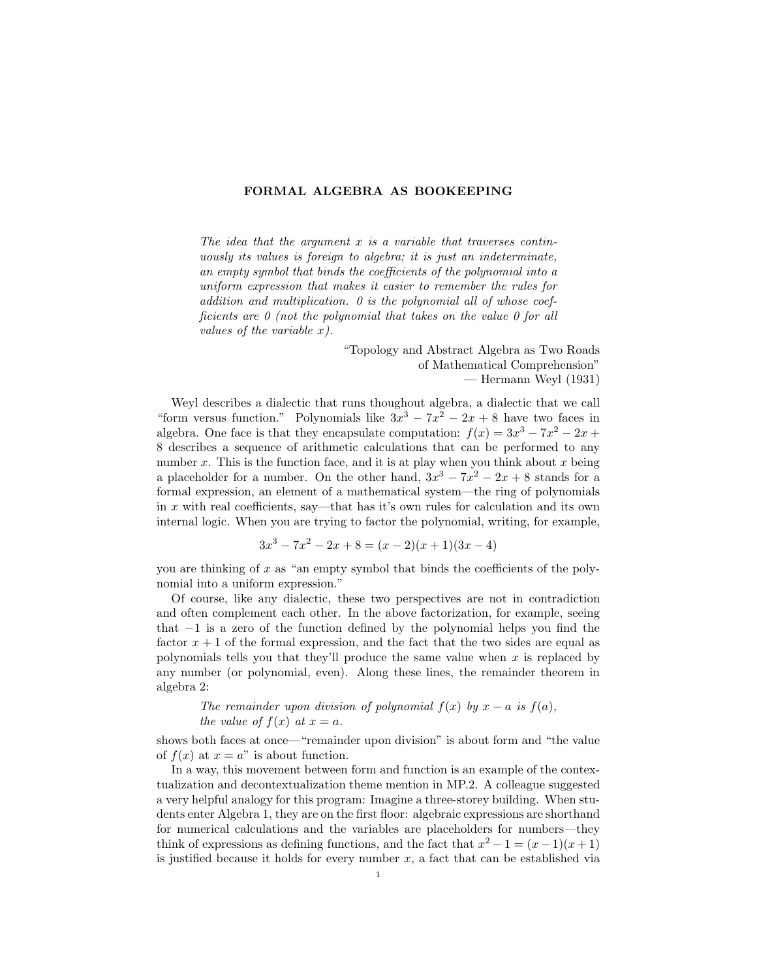## FORMAL ALGEBRA AS BOOKEEPING

The idea that the argument  $x$  is a variable that traverses continuously its values is foreign to algebra; it is just an indeterminate, an empty symbol that binds the coefficients of the polynomial into a uniform expression that makes it easier to remember the rules for addition and multiplication. 0 is the polynomial all of whose coefficients are 0 (not the polynomial that takes on the value 0 for all values of the variable x).

> "Topology and Abstract Algebra as Two Roads of Mathematical Comprehension" — Hermann Weyl (1931)

Weyl describes a dialectic that runs thoughout algebra, a dialectic that we call "form versus function." Polynomials like  $3x^3 - 7x^2 - 2x + 8$  have two faces in algebra. One face is that they encapsulate computation:  $f(x) = 3x^3 - 7x^2 - 2x +$ 8 describes a sequence of arithmetic calculations that can be performed to any number  $x$ . This is the function face, and it is at play when you think about  $x$  being a placeholder for a number. On the other hand,  $3x^3 - 7x^2 - 2x + 8$  stands for a formal expression, an element of a mathematical system—the ring of polynomials in x with real coefficients, say—that has it's own rules for calculation and its own internal logic. When you are trying to factor the polynomial, writing, for example,

$$
3x^3 - 7x^2 - 2x + 8 = (x - 2)(x + 1)(3x - 4)
$$

you are thinking of  $x$  as "an empty symbol that binds the coefficients of the polynomial into a uniform expression."

Of course, like any dialectic, these two perspectives are not in contradiction and often complement each other. In the above factorization, for example, seeing that −1 is a zero of the function defined by the polynomial helps you find the factor  $x + 1$  of the formal expression, and the fact that the two sides are equal as polynomials tells you that they'll produce the same value when x is replaced by any number (or polynomial, even). Along these lines, the remainder theorem in algebra 2:

The remainder upon division of polynomial 
$$
f(x)
$$
 by  $x - a$  is  $f(a)$ ,  
the value of  $f(x)$  at  $x = a$ .

shows both faces at once—"remainder upon division" is about form and "the value of  $f(x)$  at  $x = a$ " is about function.

In a way, this movement between form and function is an example of the contextualization and decontextualization theme mention in MP.2. A colleague suggested a very helpful analogy for this program: Imagine a three-storey building. When students enter Algebra 1, they are on the first floor: algebraic expressions are shorthand for numerical calculations and the variables are placeholders for numbers—they think of expressions as defining functions, and the fact that  $x^2 - 1 = (x - 1)(x + 1)$ is justified because it holds for every number  $x$ , a fact that can be established via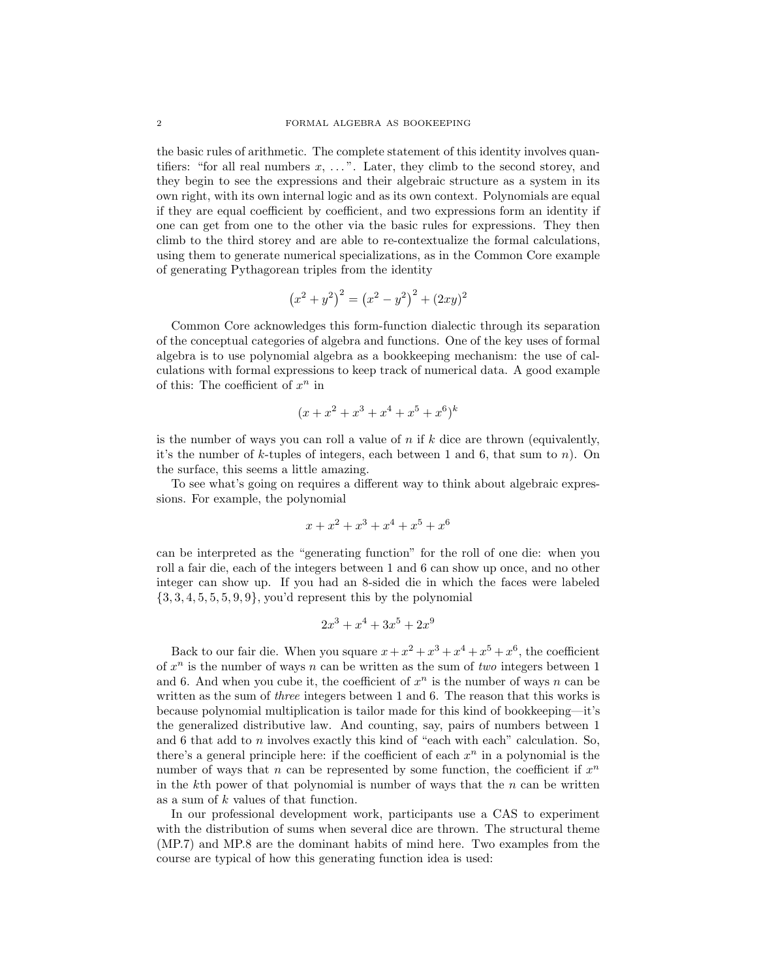the basic rules of arithmetic. The complete statement of this identity involves quantifiers: "for all real numbers  $x, \ldots$ ". Later, they climb to the second storey, and they begin to see the expressions and their algebraic structure as a system in its own right, with its own internal logic and as its own context. Polynomials are equal if they are equal coefficient by coefficient, and two expressions form an identity if one can get from one to the other via the basic rules for expressions. They then climb to the third storey and are able to re-contextualize the formal calculations, using them to generate numerical specializations, as in the Common Core example of generating Pythagorean triples from the identity

$$
(x^{2} + y^{2})^{2} = (x^{2} - y^{2})^{2} + (2xy)^{2}
$$

Common Core acknowledges this form-function dialectic through its separation of the conceptual categories of algebra and functions. One of the key uses of formal algebra is to use polynomial algebra as a bookkeeping mechanism: the use of calculations with formal expressions to keep track of numerical data. A good example of this: The coefficient of  $x^n$  in

$$
(x + x2 + x3 + x4 + x5 + x6)k
$$

is the number of ways you can roll a value of  $n$  if  $k$  dice are thrown (equivalently, it's the number of k-tuples of integers, each between 1 and 6, that sum to  $n$ ). On the surface, this seems a little amazing.

To see what's going on requires a different way to think about algebraic expressions. For example, the polynomial

$$
x + x^2 + x^3 + x^4 + x^5 + x^6
$$

can be interpreted as the "generating function" for the roll of one die: when you roll a fair die, each of the integers between 1 and 6 can show up once, and no other integer can show up. If you had an 8-sided die in which the faces were labeled  $\{3, 3, 4, 5, 5, 5, 9, 9\}$ , you'd represent this by the polynomial

$$
2x^3 + x^4 + 3x^5 + 2x^9
$$

Back to our fair die. When you square  $x + x^2 + x^3 + x^4 + x^5 + x^6$ , the coefficient of  $x^n$  is the number of ways n can be written as the sum of two integers between 1 and 6. And when you cube it, the coefficient of  $x^n$  is the number of ways n can be written as the sum of *three* integers between 1 and 6. The reason that this works is because polynomial multiplication is tailor made for this kind of bookkeeping—it's the generalized distributive law. And counting, say, pairs of numbers between 1 and 6 that add to n involves exactly this kind of "each with each" calculation. So, there's a general principle here: if the coefficient of each  $x^n$  in a polynomial is the number of ways that n can be represented by some function, the coefficient if  $x^n$ in the kth power of that polynomial is number of ways that the  $n$  can be written as a sum of k values of that function.

In our professional development work, participants use a CAS to experiment with the distribution of sums when several dice are thrown. The structural theme (MP.7) and MP.8 are the dominant habits of mind here. Two examples from the course are typical of how this generating function idea is used: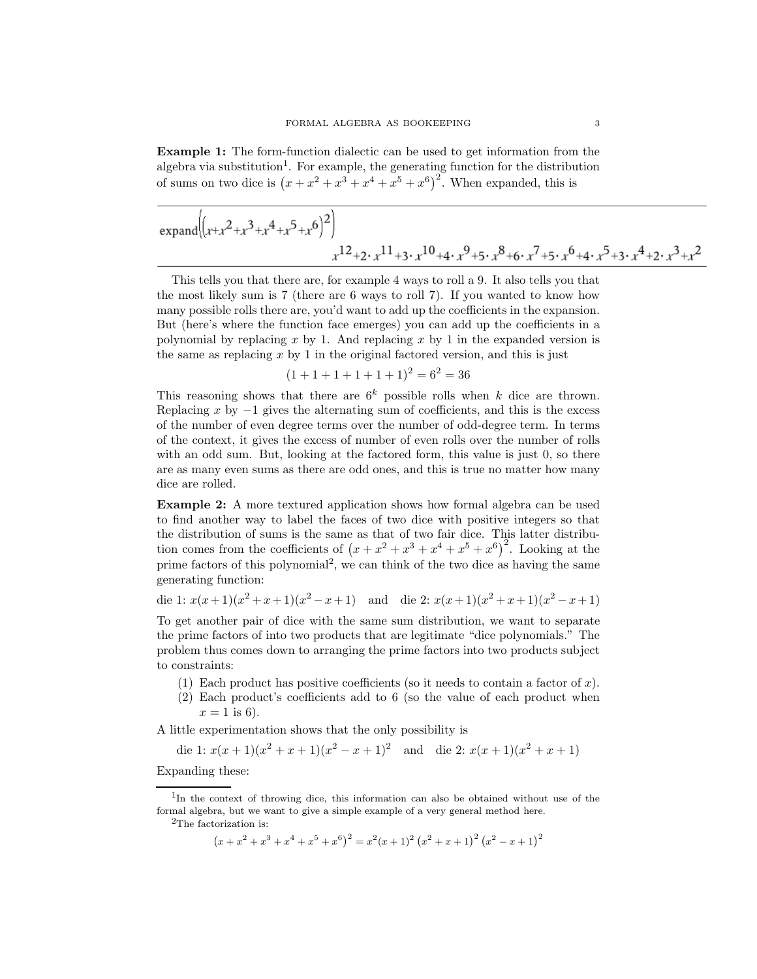Example 1: The form-function dialectic can be used to get information from the algebra via substitution<sup>1</sup>. For example, the generating function for the distribution of sums on two dice is  $(x + x^2 + x^3 + x^4 + x^5 + x^6)^2$ . When expanded, this is

$$
\overline{\exp\left((x+x^2+x^3+x^4+x^5+x^6)^2\right)}
$$
  

$$
x^{12}+2 \cdot x^{11}+3 \cdot x^{10}+4 \cdot x^9+5 \cdot x^8+6 \cdot x^7+5 \cdot x^6+4 \cdot x^5+3 \cdot x^4+2 \cdot x^3+x^2
$$

This tells you that there are, for example 4 ways to roll a 9. It also tells you that the most likely sum is 7 (there are 6 ways to roll 7). If you wanted to know how many possible rolls there are, you'd want to add up the coefficients in the expansion. But (here's where the function face emerges) you can add up the coefficients in a polynomial by replacing  $x$  by 1. And replacing  $x$  by 1 in the expanded version is the same as replacing  $x$  by 1 in the original factored version, and this is just

$$
(1+1+1+1+1+1)^2 = 6^2 = 36
$$

This reasoning shows that there are  $6^k$  possible rolls when k dice are thrown. Replacing x by  $-1$  gives the alternating sum of coefficients, and this is the excess of the number of even degree terms over the number of odd-degree term. In terms of the context, it gives the excess of number of even rolls over the number of rolls with an odd sum. But, looking at the factored form, this value is just 0, so there are as many even sums as there are odd ones, and this is true no matter how many dice are rolled.

Example 2: A more textured application shows how formal algebra can be used to find another way to label the faces of two dice with positive integers so that the distribution of sums is the same as that of two fair dice. This latter distribution comes from the coefficients of  $(x + x^2 + x^3 + x^4 + x^5 + x^6)^2$ . Looking at the prime factors of this polynomial<sup>2</sup>, we can think of the two dice as having the same generating function:

$$
\text{ die 1: } x(x+1)(x^2+x+1)(x^2-x+1) \quad \text{and} \quad \text{die 2: } x(x+1)(x^2+x+1)(x^2-x+1)
$$

To get another pair of dice with the same sum distribution, we want to separate the prime factors of into two products that are legitimate "dice polynomials." The problem thus comes down to arranging the prime factors into two products subject to constraints:

- (1) Each product has positive coefficients (so it needs to contain a factor of  $x$ ).
- (2) Each product's coefficients add to 6 (so the value of each product when  $x = 1$  is 6).

A little experimentation shows that the only possibility is

die 1:  $x(x+1)(x^2+x+1)(x^2-x+1)^2$  and die 2:  $x(x+1)(x^2+x+1)$ 

Expanding these:

 $(x+x^2+x^3+x^4+x^5+x^6)^2=x^2(x+1)^2(x^2+x+1)^2(x^2-x+1)^2$ 

<sup>1</sup> In the context of throwing dice, this information can also be obtained without use of the formal algebra, but we want to give a simple example of a very general method here.

<sup>&</sup>lt;sup>2</sup>The factorization is: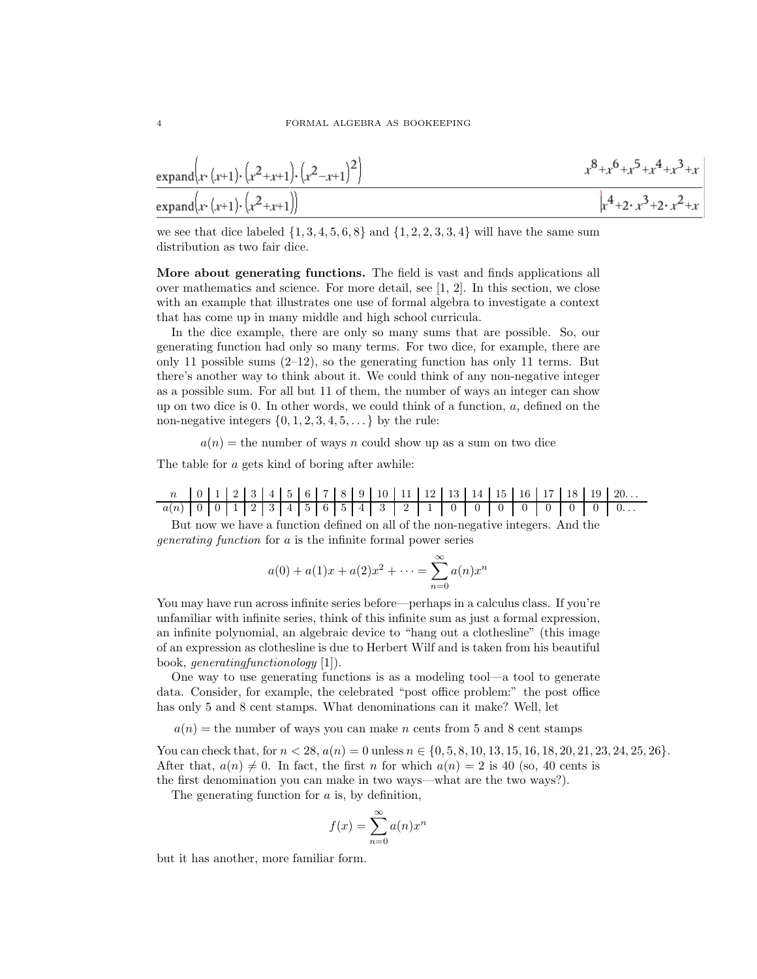$$
\frac{\exp \operatorname{and}(x \cdot (x+1) \cdot (x^2+x+1) \cdot (x^2-x+1)^2)}{\exp \operatorname{and}(x \cdot (x+1) \cdot (x^2+x+1))}
$$
\n
$$
x^8 + x^6 + x^5 + x^4 + x^3 + x
$$
\n
$$
x^8 + x^6 + x^5 + x^4 + x^3 + x
$$
\n
$$
x^8 + x^6 + x^5 + x^4 + x^3 + x
$$

we see that dice labeled  $\{1, 3, 4, 5, 6, 8\}$  and  $\{1, 2, 2, 3, 3, 4\}$  will have the same sum distribution as two fair dice.

More about generating functions. The field is vast and finds applications all over mathematics and science. For more detail, see [1, 2]. In this section, we close with an example that illustrates one use of formal algebra to investigate a context that has come up in many middle and high school curricula.

In the dice example, there are only so many sums that are possible. So, our generating function had only so many terms. For two dice, for example, there are only 11 possible sums  $(2-12)$ , so the generating function has only 11 terms. But there's another way to think about it. We could think of any non-negative integer as a possible sum. For all but 11 of them, the number of ways an integer can show up on two dice is  $0$ . In other words, we could think of a function,  $a$ , defined on the non-negative integers  $\{0, 1, 2, 3, 4, 5, \ldots\}$  by the rule:

 $a(n)$  = the number of ways n could show up as a sum on two dice

The table for a gets kind of boring after awhile:

n 0 1 2 3 4 5 6 7 8 9 10 11 12 13 14 15 16 17 18 19 20. . .  $a(n)$  0 0 1 2 3 4 5 6 5 4 3 2 1 0 0 0 0 0 0 0 0 0 0 0 ...

But now we have a function defined on all of the non-negative integers. And the generating function for a is the infinite formal power series

$$
a(0) + a(1)x + a(2)x^{2} + \dots = \sum_{n=0}^{\infty} a(n)x^{n}
$$

You may have run across infinite series before—perhaps in a calculus class. If you're unfamiliar with infinite series, think of this infinite sum as just a formal expression, an infinite polynomial, an algebraic device to "hang out a clothesline" (this image of an expression as clothesline is due to Herbert Wilf and is taken from his beautiful book, generatingfunctionology [1]).

One way to use generating functions is as a modeling tool—a tool to generate data. Consider, for example, the celebrated "post office problem:" the post office has only 5 and 8 cent stamps. What denominations can it make? Well, let

 $a(n)$  = the number of ways you can make n cents from 5 and 8 cent stamps

You can check that, for  $n < 28$ ,  $a(n) = 0$  unless  $n \in \{0, 5, 8, 10, 13, 15, 16, 18, 20, 21, 23, 24, 25, 26\}$ . After that,  $a(n) \neq 0$ . In fact, the first n for which  $a(n) = 2$  is 40 (so, 40 cents is the first denomination you can make in two ways—what are the two ways?).

The generating function for a is, by definition,

$$
f(x) = \sum_{n=0}^{\infty} a(n)x^n
$$

but it has another, more familiar form.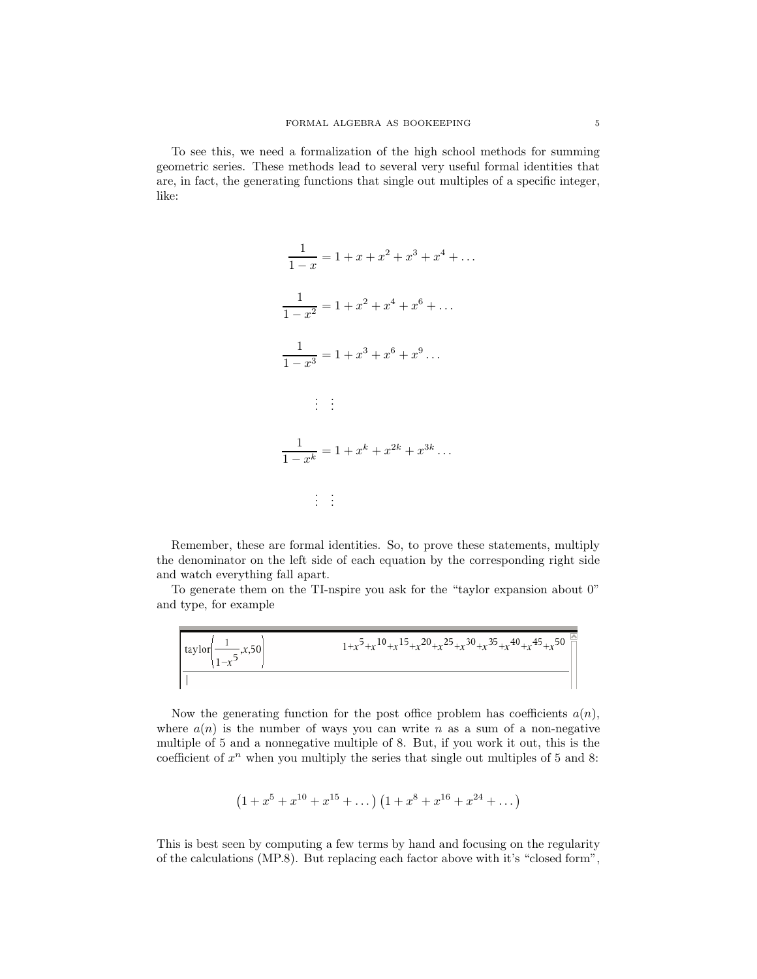To see this, we need a formalization of the high school methods for summing geometric series. These methods lead to several very useful formal identities that are, in fact, the generating functions that single out multiples of a specific integer, like:

$$
\frac{1}{1-x} = 1 + x + x^2 + x^3 + x^4 + \dots
$$

$$
\frac{1}{1-x^2} = 1 + x^2 + x^4 + x^6 + \dots
$$

$$
\frac{1}{1-x^3} = 1 + x^3 + x^6 + x^9 \dots
$$

$$
\vdots \quad \vdots
$$

$$
\frac{1}{1-x^k} = 1 + x^k + x^{2k} + x^{3k} \dots
$$

$$
\vdots \quad \vdots
$$

Remember, these are formal identities. So, to prove these statements, multiply the denominator on the left side of each equation by the corresponding right side and watch everything fall apart.

To generate them on the TI-nspire you ask for the "taylor expansion about 0" and type, for example

$$
\frac{\left[\alpha y \right] \text{tan} \left(\frac{1}{1-x^5}, x, 50\right)}{1+x^5 + x^{10} + x^{15} + x^{20} + x^{25} + x^{30} + x^{35} + x^{40} + x^{45} + x^{50}}{1+x^5 + x^{10} + x^{15} + x^{20} + x^{25} + x^{30} + x^{35} + x^{40} + x^{45} + x^{50}}{1+x^5 + x^{10} + x^{15} + x^{20} + x^{25} + x^{30} + x^{40} + x^{45} + x^{50}}{1+x^5 + x^{10} + x^{15} + x^{20} + x^{25} + x^{30} + x^{40} + x^{45} + x^{50}}{1+x^5 + x^{40} + x^{45} + x^{50}}{1+x^5 + x^{40} + x^{45} + x^{50}}{1+x^5 + x^{40} + x^{45} + x^{50}}{1+x^5 + x^{40} + x^{45} + x^{50}}{1+x^5 + x^{40} + x^{45} + x^{50}}{1+x^5 + x^{40} + x^{45} + x^{50}}{1+x^5 + x^{40} + x^{45} + x^{50}}{1+x^5 + x^{40} + x^{45} + x^{50}}{1+x^5 + x^{40} + x^{45} + x^{50}}{1+x^5 + x^{40} + x^{45} + x^{50}}{1+x^5 + x^{40} + x^{45} + x^{50}}{1+x^5 + x^{40} + x^{45} + x^{50}}{1+x^5 + x^{40} + x^{45} + x^{50}}{1+x^5 + x^{40} + x^{45} + x^{50}}{1+x^5 + x^{40} + x^{45} + x^{50}}{1+x^5 + x^{40} + x^{45} + x^{50}}{1+x^5 + x^{40} + x^{45} + x^{50}}{1+x^5 + x^{40} + x^{45} + x^{50}}{1+x^5 + x^{40} + x^{45} + x^{50}}{1+x^5 + x^{40} + x^{50} + x^{50}}{1+x^5 + x^{50} + x^{50} + x^{50} + x^{50} + x^{50} + x^{50}
$$

Now the generating function for the post office problem has coefficients  $a(n)$ , where  $a(n)$  is the number of ways you can write n as a sum of a non-negative multiple of 5 and a nonnegative multiple of 8. But, if you work it out, this is the coefficient of  $x^n$  when you multiply the series that single out multiples of 5 and 8:

$$
(1+x^5+x^{10}+x^{15}+\dots)(1+x^8+x^{16}+x^{24}+\dots)
$$

This is best seen by computing a few terms by hand and focusing on the regularity of the calculations (MP.8). But replacing each factor above with it's "closed form",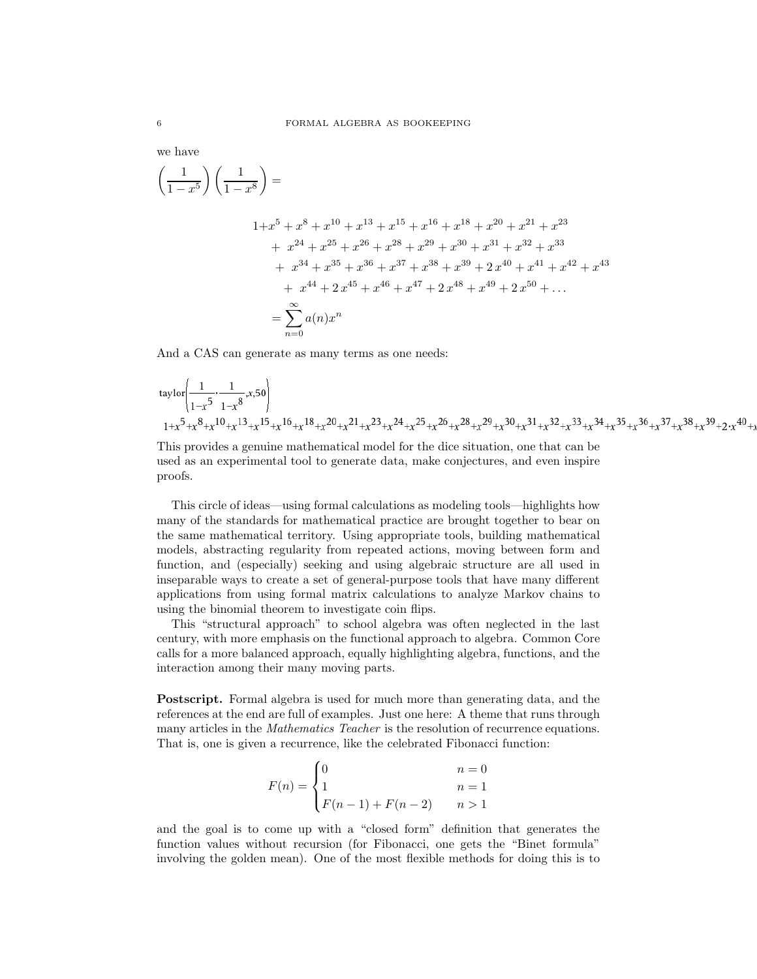we have

$$
\left(\frac{1}{1-x^5}\right)\left(\frac{1}{1-x^8}\right) =
$$

$$
1+x^5 + x^8 + x^{10} + x^{13} + x^{15} + x^{16} + x^{18} + x^{20} + x^{21} + x^{23}
$$
  
+  $x^{24} + x^{25} + x^{26} + x^{28} + x^{29} + x^{30} + x^{31} + x^{32} + x^{33}$   
+  $x^{34} + x^{35} + x^{36} + x^{37} + x^{38} + x^{39} + 2x^{40} + x^{41} + x^{42} + x^{43}$   
+  $x^{44} + 2x^{45} + x^{46} + x^{47} + 2x^{48} + x^{49} + 2x^{50} + ...$   
=  $\sum_{n=0}^{\infty} a(n)x^n$ 

And a CAS can generate as many terms as one needs:

$$
\begin{array}{l} \ _{1}^{1} \ _{1-x}^{5} \cdot \frac{1}{1-x^{8}} ,x,50 \\ \ _{1+x^{5}+x^{8}+x^{10}+x^{13}+x^{15}+x^{16}+x^{18}+x^{20}+x^{21}+x^{23}+x^{24}+x^{25}+x^{26}+x^{28}+x^{29}+x^{30}+x^{31}+x^{32}+x^{33}+x^{34}+x^{35}+x^{36}+x^{37}+x^{38}+x^{39}+2 \cdot x^{40}+x^{41}+x^{42}+x^{43}+x^{44}+x^{45}+x^{46}+x^{47}+x^{48}+x^{49}+x^{40}+x^{41}+x^{42}+x^{43}+x^{44}+x^{45}+x^{46}+x^{47}+x^{48}+x^{49}+x^{40}+x^{41}+x^{42}+x^{43}+x^{44}+x^{45}+x^{46}+x^{47}+x^{48}+x^{49}+x^{40}+x^{44}+x^{45}+x^{46}+x^{48}+x^{49}+x^{40}+x^{44}+x^{45}+x^{46}+x^{47}+x^{48}+x^{49}+x^{40}+x^{44}+x^{45}+x^{46}+x^{47}+x^{48}+x^{49}+x^{40}+x^{40}+x^{40}+x^{40}+x^{40}+x^{40}+x^{40}+x^{40}+x^{40}+x^{40}+x^{40}+x^{40}+x^{40}+x^{40}+x^{40}+x^{40}+x^{40}+x^{40}+x^{40}+x^{40}+x^{40}+x^{40}+x^{40}+x^{40}+x^{40}+x^{40}+x^{40}+x^{40}+x^{40}+x^{40}+x^{40}+x^{40}+x^{40}+x^{40}+x^{40}+x^{40}+x^{40}+x^{40}+x^{40}+x^{40}+x^{40}+x^{40}+x^{40}+x^{40}
$$

This provides a genuine mathematical model for the dice situation, one that can be used as an experimental tool to generate data, make conjectures, and even inspire proofs.

This circle of ideas—using formal calculations as modeling tools—highlights how many of the standards for mathematical practice are brought together to bear on the same mathematical territory. Using appropriate tools, building mathematical models, abstracting regularity from repeated actions, moving between form and function, and (especially) seeking and using algebraic structure are all used in inseparable ways to create a set of general-purpose tools that have many different applications from using formal matrix calculations to analyze Markov chains to using the binomial theorem to investigate coin flips.

This "structural approach" to school algebra was often neglected in the last century, with more emphasis on the functional approach to algebra. Common Core calls for a more balanced approach, equally highlighting algebra, functions, and the interaction among their many moving parts.

Postscript. Formal algebra is used for much more than generating data, and the references at the end are full of examples. Just one here: A theme that runs through many articles in the *Mathematics Teacher* is the resolution of recurrence equations. That is, one is given a recurrence, like the celebrated Fibonacci function:

$$
F(n) = \begin{cases} 0 & n = 0\\ 1 & n = 1\\ F(n-1) + F(n-2) & n > 1 \end{cases}
$$

and the goal is to come up with a "closed form" definition that generates the function values without recursion (for Fibonacci, one gets the "Binet formula" involving the golden mean). One of the most flexible methods for doing this is to